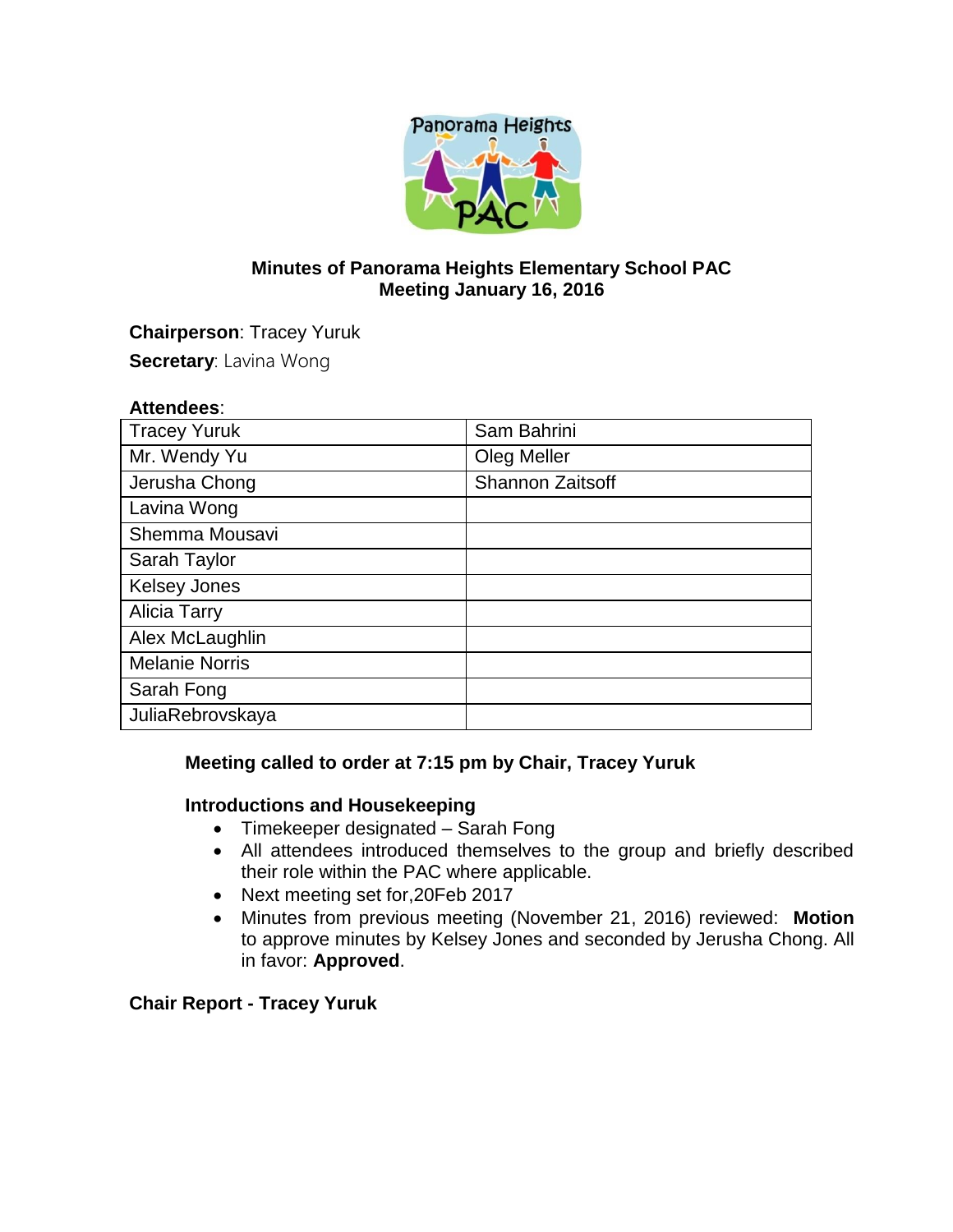

## **Minutes of Panorama Heights Elementary School PAC Meeting January 16, 2016**

**Chairperson**: Tracey Yuruk **Secretary: Lavina Wong** 

## **Attendees**:

| <b>Tracey Yuruk</b>   | Sam Bahrini             |
|-----------------------|-------------------------|
| Mr. Wendy Yu          | Oleg Meller             |
| Jerusha Chong         | <b>Shannon Zaitsoff</b> |
| Lavina Wong           |                         |
| Shemma Mousavi        |                         |
| Sarah Taylor          |                         |
| <b>Kelsey Jones</b>   |                         |
| <b>Alicia Tarry</b>   |                         |
| Alex McLaughlin       |                         |
| <b>Melanie Norris</b> |                         |
| Sarah Fong            |                         |
| JuliaRebrovskaya      |                         |

## **Meeting called to order at 7:15 pm by Chair, Tracey Yuruk**

## **Introductions and Housekeeping**

- Timekeeper designated Sarah Fong
- All attendees introduced themselves to the group and briefly described their role within the PAC where applicable.
- Next meeting set for, 20 Feb 2017
- Minutes from previous meeting (November 21, 2016) reviewed: **Motion**  to approve minutes by Kelsey Jones and seconded by Jerusha Chong. All in favor: **Approved**.

# **Chair Report - Tracey Yuruk**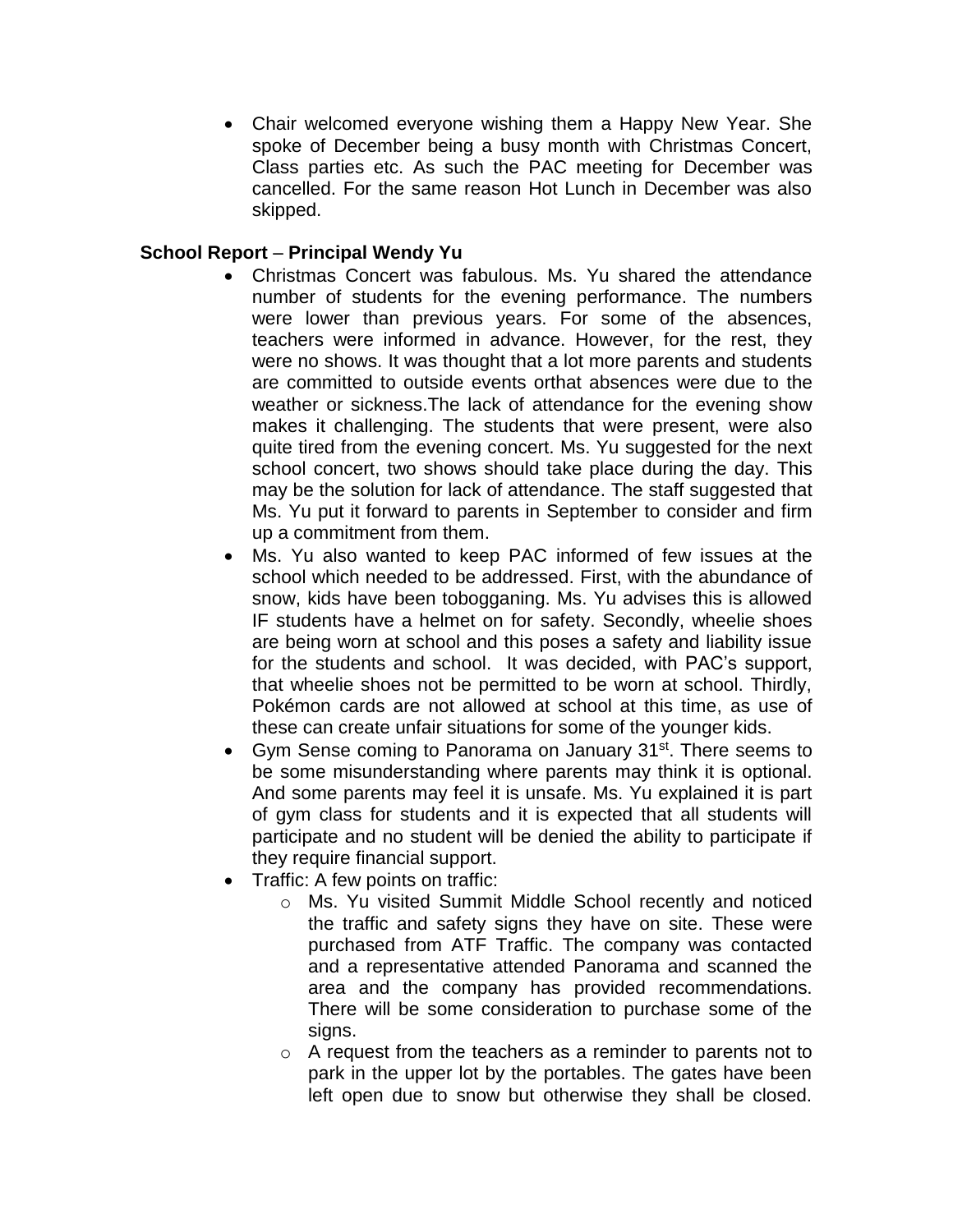Chair welcomed everyone wishing them a Happy New Year. She spoke of December being a busy month with Christmas Concert, Class parties etc. As such the PAC meeting for December was cancelled. For the same reason Hot Lunch in December was also skipped.

## **School Report** – **Principal Wendy Yu**

- Christmas Concert was fabulous. Ms. Yu shared the attendance number of students for the evening performance. The numbers were lower than previous years. For some of the absences, teachers were informed in advance. However, for the rest, they were no shows. It was thought that a lot more parents and students are committed to outside events orthat absences were due to the weather or sickness.The lack of attendance for the evening show makes it challenging. The students that were present, were also quite tired from the evening concert. Ms. Yu suggested for the next school concert, two shows should take place during the day. This may be the solution for lack of attendance. The staff suggested that Ms. Yu put it forward to parents in September to consider and firm up a commitment from them.
- Ms. Yu also wanted to keep PAC informed of few issues at the school which needed to be addressed. First, with the abundance of snow, kids have been tobogganing. Ms. Yu advises this is allowed IF students have a helmet on for safety. Secondly, wheelie shoes are being worn at school and this poses a safety and liability issue for the students and school. It was decided, with PAC's support, that wheelie shoes not be permitted to be worn at school. Thirdly, Pokémon cards are not allowed at school at this time, as use of these can create unfair situations for some of the younger kids.
- Gym Sense coming to Panorama on January 31<sup>st</sup>. There seems to be some misunderstanding where parents may think it is optional. And some parents may feel it is unsafe. Ms. Yu explained it is part of gym class for students and it is expected that all students will participate and no student will be denied the ability to participate if they require financial support.
- Traffic: A few points on traffic:
	- o Ms. Yu visited Summit Middle School recently and noticed the traffic and safety signs they have on site. These were purchased from ATF Traffic. The company was contacted and a representative attended Panorama and scanned the area and the company has provided recommendations. There will be some consideration to purchase some of the signs.
	- o A request from the teachers as a reminder to parents not to park in the upper lot by the portables. The gates have been left open due to snow but otherwise they shall be closed.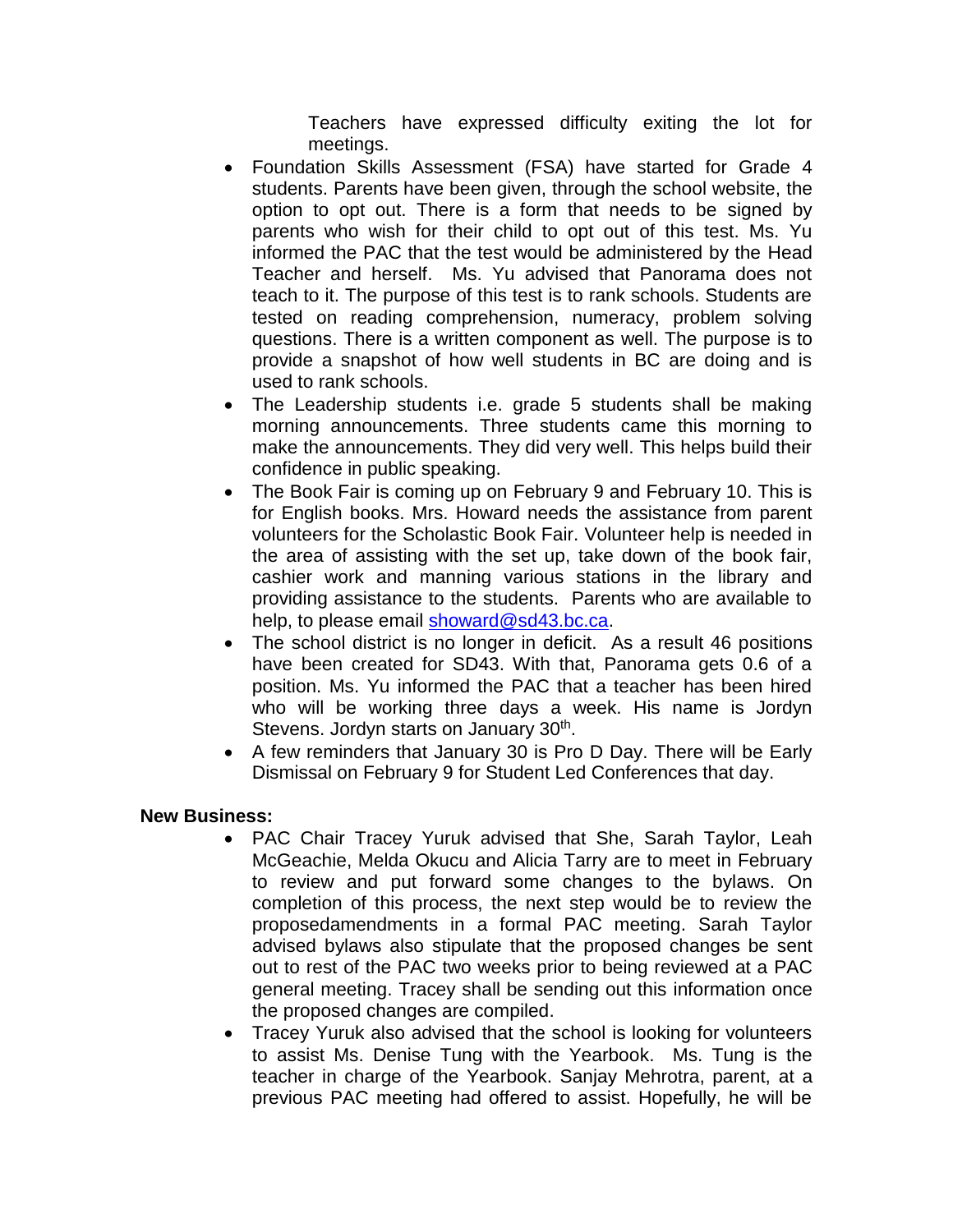Teachers have expressed difficulty exiting the lot for meetings.

- Foundation Skills Assessment (FSA) have started for Grade 4 students. Parents have been given, through the school website, the option to opt out. There is a form that needs to be signed by parents who wish for their child to opt out of this test. Ms. Yu informed the PAC that the test would be administered by the Head Teacher and herself. Ms. Yu advised that Panorama does not teach to it. The purpose of this test is to rank schools. Students are tested on reading comprehension, numeracy, problem solving questions. There is a written component as well. The purpose is to provide a snapshot of how well students in BC are doing and is used to rank schools.
- The Leadership students i.e. grade 5 students shall be making morning announcements. Three students came this morning to make the announcements. They did very well. This helps build their confidence in public speaking.
- The Book Fair is coming up on February 9 and February 10. This is for English books. Mrs. Howard needs the assistance from parent volunteers for the Scholastic Book Fair. Volunteer help is needed in the area of assisting with the set up, take down of the book fair, cashier work and manning various stations in the library and providing assistance to the students. Parents who are available to help, to please email [showard@sd43.bc.ca.](mailto:showard@sd43.bc.ca)
- The school district is no longer in deficit. As a result 46 positions have been created for SD43. With that, Panorama gets 0.6 of a position. Ms. Yu informed the PAC that a teacher has been hired who will be working three days a week. His name is Jordyn Stevens. Jordyn starts on January 30<sup>th</sup>.
- A few reminders that January 30 is Pro D Day. There will be Early Dismissal on February 9 for Student Led Conferences that day.

## **New Business:**

- PAC Chair Tracey Yuruk advised that She, Sarah Taylor, Leah McGeachie, Melda Okucu and Alicia Tarry are to meet in February to review and put forward some changes to the bylaws. On completion of this process, the next step would be to review the proposedamendments in a formal PAC meeting. Sarah Taylor advised bylaws also stipulate that the proposed changes be sent out to rest of the PAC two weeks prior to being reviewed at a PAC general meeting. Tracey shall be sending out this information once the proposed changes are compiled.
- Tracey Yuruk also advised that the school is looking for volunteers to assist Ms. Denise Tung with the Yearbook. Ms. Tung is the teacher in charge of the Yearbook. Sanjay Mehrotra, parent, at a previous PAC meeting had offered to assist. Hopefully, he will be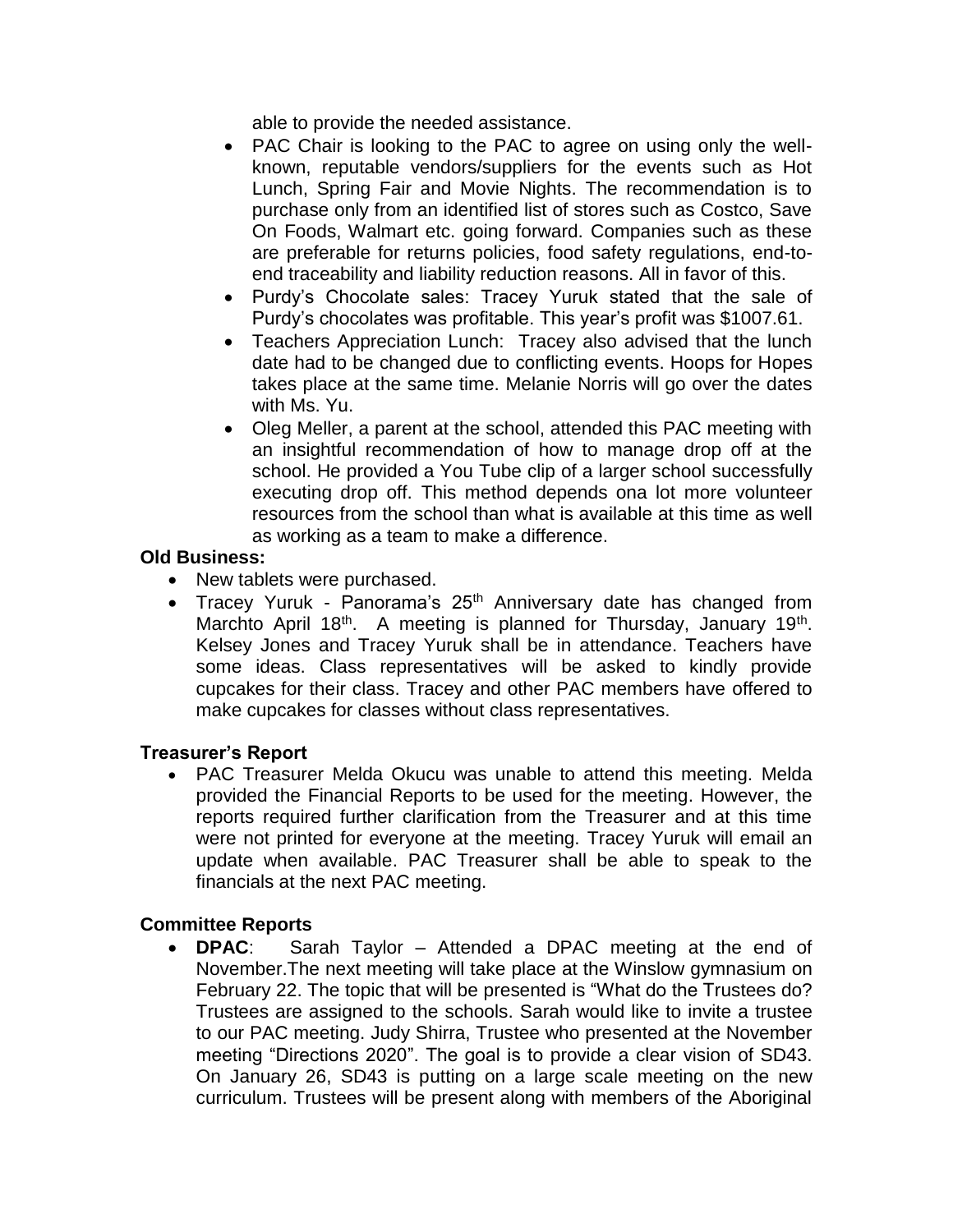able to provide the needed assistance.

- PAC Chair is looking to the PAC to agree on using only the wellknown, reputable vendors/suppliers for the events such as Hot Lunch, Spring Fair and Movie Nights. The recommendation is to purchase only from an identified list of stores such as Costco, Save On Foods, Walmart etc. going forward. Companies such as these are preferable for returns policies, food safety regulations, end-toend traceability and liability reduction reasons. All in favor of this.
- Purdy's Chocolate sales: Tracey Yuruk stated that the sale of Purdy's chocolates was profitable. This year's profit was \$1007.61.
- Teachers Appreciation Lunch: Tracey also advised that the lunch date had to be changed due to conflicting events. Hoops for Hopes takes place at the same time. Melanie Norris will go over the dates with Ms. Yu.
- Oleg Meller, a parent at the school, attended this PAC meeting with an insightful recommendation of how to manage drop off at the school. He provided a You Tube clip of a larger school successfully executing drop off. This method depends ona lot more volunteer resources from the school than what is available at this time as well as working as a team to make a difference.

## **Old Business:**

- New tablets were purchased.
- Tracey Yuruk Panorama's  $25<sup>th</sup>$  Anniversary date has changed from Marchto April 18<sup>th</sup>. A meeting is planned for Thursday, January 19<sup>th</sup>. Kelsey Jones and Tracey Yuruk shall be in attendance. Teachers have some ideas. Class representatives will be asked to kindly provide cupcakes for their class. Tracey and other PAC members have offered to make cupcakes for classes without class representatives.

## **Treasurer's Report**

 PAC Treasurer Melda Okucu was unable to attend this meeting. Melda provided the Financial Reports to be used for the meeting. However, the reports required further clarification from the Treasurer and at this time were not printed for everyone at the meeting. Tracey Yuruk will email an update when available. PAC Treasurer shall be able to speak to the financials at the next PAC meeting.

## **Committee Reports**

 **DPAC**: Sarah Taylor – Attended a DPAC meeting at the end of November.The next meeting will take place at the Winslow gymnasium on February 22. The topic that will be presented is "What do the Trustees do? Trustees are assigned to the schools. Sarah would like to invite a trustee to our PAC meeting. Judy Shirra, Trustee who presented at the November meeting "Directions 2020". The goal is to provide a clear vision of SD43. On January 26, SD43 is putting on a large scale meeting on the new curriculum. Trustees will be present along with members of the Aboriginal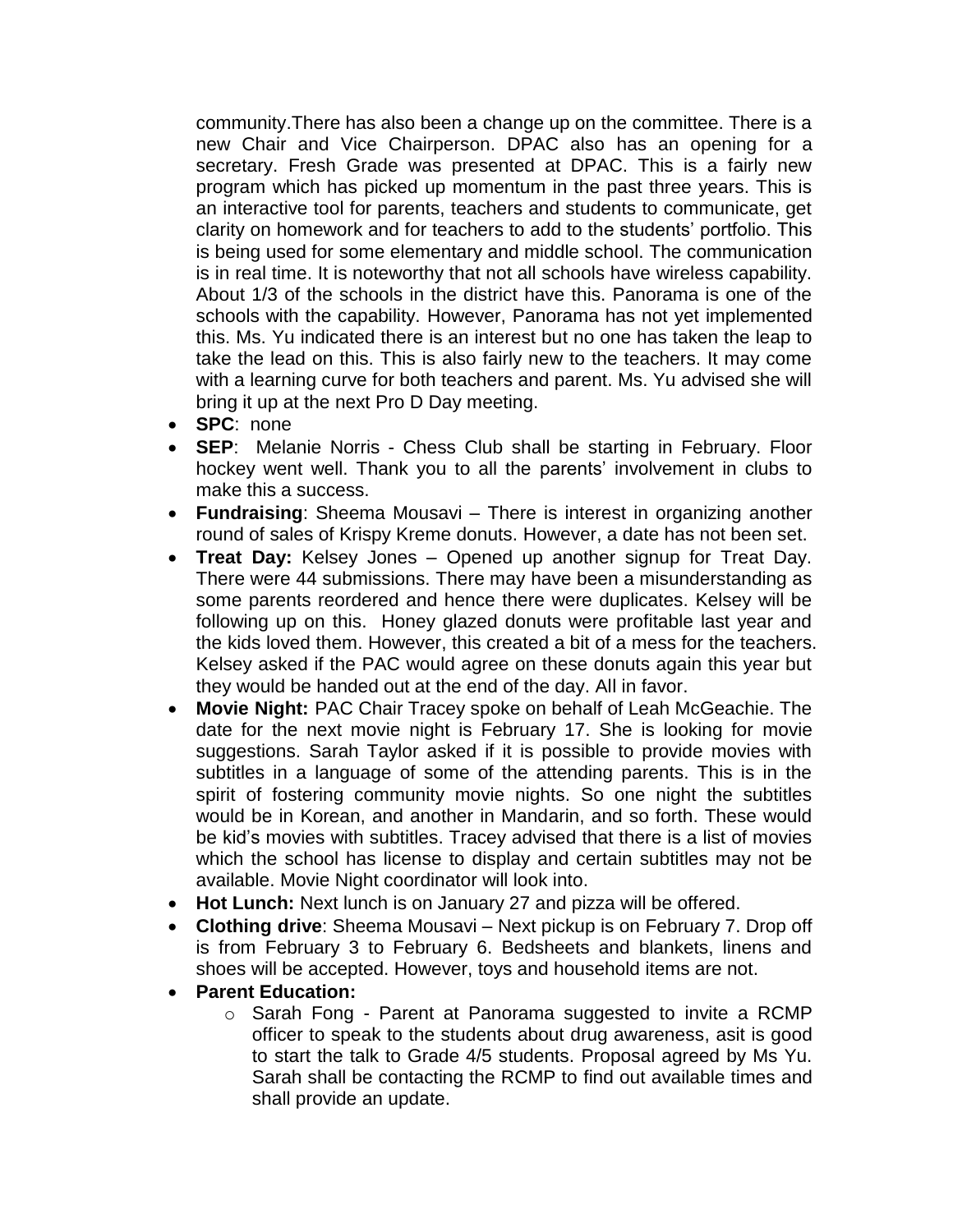community.There has also been a change up on the committee. There is a new Chair and Vice Chairperson. DPAC also has an opening for a secretary. Fresh Grade was presented at DPAC. This is a fairly new program which has picked up momentum in the past three years. This is an interactive tool for parents, teachers and students to communicate, get clarity on homework and for teachers to add to the students' portfolio. This is being used for some elementary and middle school. The communication is in real time. It is noteworthy that not all schools have wireless capability. About 1/3 of the schools in the district have this. Panorama is one of the schools with the capability. However, Panorama has not yet implemented this. Ms. Yu indicated there is an interest but no one has taken the leap to take the lead on this. This is also fairly new to the teachers. It may come with a learning curve for both teachers and parent. Ms. Yu advised she will bring it up at the next Pro D Day meeting.

- **SPC**: none
- **SEP**: Melanie Norris Chess Club shall be starting in February. Floor hockey went well. Thank you to all the parents' involvement in clubs to make this a success.
- **Fundraising**: Sheema Mousavi There is interest in organizing another round of sales of Krispy Kreme donuts. However, a date has not been set.
- **Treat Day:** Kelsey Jones Opened up another signup for Treat Day. There were 44 submissions. There may have been a misunderstanding as some parents reordered and hence there were duplicates. Kelsey will be following up on this. Honey glazed donuts were profitable last year and the kids loved them. However, this created a bit of a mess for the teachers. Kelsey asked if the PAC would agree on these donuts again this year but they would be handed out at the end of the day. All in favor.
- **Movie Night:** PAC Chair Tracey spoke on behalf of Leah McGeachie. The date for the next movie night is February 17. She is looking for movie suggestions. Sarah Taylor asked if it is possible to provide movies with subtitles in a language of some of the attending parents. This is in the spirit of fostering community movie nights. So one night the subtitles would be in Korean, and another in Mandarin, and so forth. These would be kid's movies with subtitles. Tracey advised that there is a list of movies which the school has license to display and certain subtitles may not be available. Movie Night coordinator will look into.
- **Hot Lunch:** Next lunch is on January 27 and pizza will be offered.
- **Clothing drive**: Sheema Mousavi Next pickup is on February 7. Drop off is from February 3 to February 6. Bedsheets and blankets, linens and shoes will be accepted. However, toys and household items are not.
- **Parent Education:**
	- o Sarah Fong Parent at Panorama suggested to invite a RCMP officer to speak to the students about drug awareness, asit is good to start the talk to Grade 4/5 students. Proposal agreed by Ms Yu. Sarah shall be contacting the RCMP to find out available times and shall provide an update.